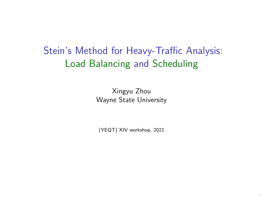Stein's Method for Heavy-Traffic Analysis: Load Balancing and Scheduling

> Xingyu Zhou Wayne State University

(YEQT) XIV workshop, 2021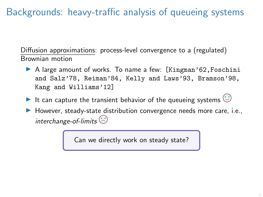# Backgrounds: heavy-traffic analysis of queueing systems

Diffusion approximations: process-level convergence to a (regulated) Brownian motion

- $\triangleright$  A large amount of works. To name a few: [Kingman'62, Foschini and Salz'78, Reiman'84, Kelly and Laws'93, Bramson'98, Kang and Williams'12]
- It can capture the transient behavior of the queueing systems  $\bigcirc$
- $\blacktriangleright$  However, steady-state distribution convergence needs more care, i.e., interchange-of-limits  $\odot$

Can we directly work on steady state?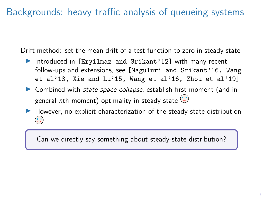## Backgrounds: heavy-traffic analysis of queueing systems

Drift method: set the mean drift of a test function to zero in steady state

- Introduced in [Eryilmaz and Srikant'12] with many recent follow-ups and extensions, see [Maguluri and Srikant'16, Wang et al'18, Xie and Lu'15, Wang et al'16, Zhou et al'19]
- $\triangleright$  Combined with *state space collapse*, establish first moment (and in general nth moment) optimality in steady state  $\odot$
- $\blacktriangleright$  However, no explicit characterization of the steady-state distribution

Can we directly say something about steady-state distribution?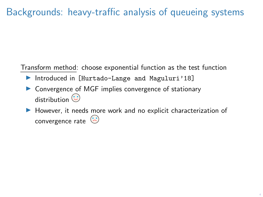# Backgrounds: heavy-traffic analysis of queueing systems

Transform method: choose exponential function as the test function

- Introduced in [Hurtado-Lange and Maguluri'18]
- $\triangleright$  Convergence of MGF implies convergence of stationary distribution  $\odot$
- $\blacktriangleright$  However, it needs more work and no explicit characterization of convergence rate  $\odot$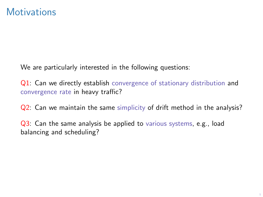We are particularly interested in the following questions:

Q1: Can we directly establish convergence of stationary distribution and convergence rate in heavy traffic?

Q2: Can we maintain the same simplicity of drift method in the analysis?

Q3: Can the same analysis be applied to various systems, e.g., load balancing and scheduling?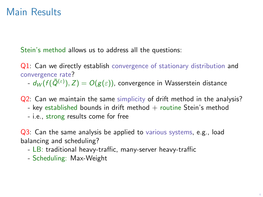### Main Results

Stein's method allows us to address all the questions:

Q1: Can we directly establish convergence of stationary distribution and convergence rate?

-  $d_W(f(\bar Q^{(\varepsilon)}),Z)=O(g(\varepsilon))$ , convergence in Wasserstein distance

Q2: Can we maintain the same simplicity of drift method in the analysis?

- key established bounds in drift method  $+$  routine Stein's method
- i.e., strong results come for free

Q3: Can the same analysis be applied to various systems, e.g., load balancing and scheduling?

- LB: traditional heavy-traffic, many-server heavy-traffic
- Scheduling: Max-Weight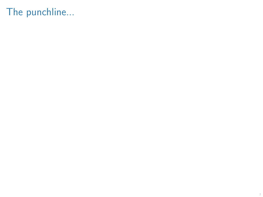# The punchline...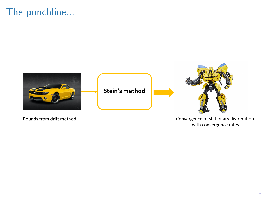## The punchline...



Bounds from drift method **Convergence** of stationary distribution with convergence rates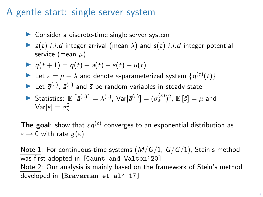#### A gentle start: single-server system

- $\triangleright$  Consider a discrete-time single server system
- $\blacktriangleright$  a(t) i.i.d integer arrival (mean  $\lambda$ ) and  $s(t)$  i.i.d integer potential service (mean  $\mu$ )

$$
\blacktriangleright q(t+1) = q(t) + a(t) - s(t) + u(t)
$$

- ► Let  $\varepsilon = \mu \lambda$  and denote  $\varepsilon$ -parameterized system  $\{q^{(\varepsilon)}(t)\}$
- Let  $\bar{q}^{(\varepsilon)}$ ,  $\bar{a}^{(\varepsilon)}$  and  $\bar{s}$  be random variables in steady state

$$
\triangleright \frac{\text{Statistics: } \mathbb{E}\left[\bar{a}^{(\varepsilon)}\right] = \lambda^{(\varepsilon)}, \text{Var}[\bar{a}^{(\varepsilon)}] = (\sigma_a^{(\varepsilon)})^2, \mathbb{E}\left[\bar{s}\right] = \mu \text{ and } \overline{\text{Var}[\bar{s}]} = \sigma_s^2
$$

**The goal**: show that  $\varepsilon\bar{q}^{(\varepsilon)}$  converges to an exponential distribution as  $\varepsilon \to 0$  with rate  $g(\varepsilon)$ 

Note 1: For continuous-time systems  $(M/G/1, G/G/1)$ , Stein's method was first adopted in [Gaunt and Walton'20] Note 2: Our analysis is mainly based on the framework of Stein's method developed in [Braverman et al' 17]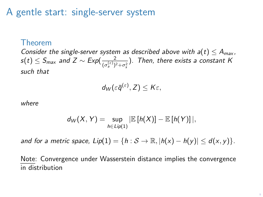#### A gentle start: single-server system

#### Theorem

Consider the single-server system as described above with  $a(t) \leq A_{max}$ ,  $s(t) \leq S_{max}$  and  $Z \sim Exp(\frac{2}{(e^{(\varepsilon)})^2})$  $\frac{2}{(\sigma_s^{(\varepsilon)})^2+\sigma_s^2}$ ). Then, there exists a constant K such that

$$
d_W(\varepsilon\bar{q}^{(\varepsilon)},Z)\leq K\varepsilon,
$$

where

$$
d_W(X, Y) = \sup_{h \in Lip(1)} |E[h(X)] - E[h(Y)]|,
$$

and for a metric space,  $Lip(1) = \{h : \mathcal{S} \to \mathbb{R}, |h(x) - h(y)| \le d(x, y)\}.$ 

Note: Convergence under Wasserstein distance implies the convergence in distribution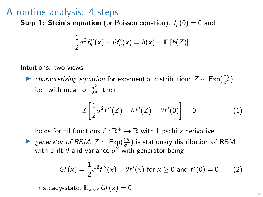**Step 1: Stein's equation** (or Poisson equation).  $f'_{h}(0) = 0$  and

$$
\frac{1}{2}\sigma^2 f''_h(x) - \theta f'_h(x) = h(x) - \mathbb{E}[h(Z)]
$$

#### Intuitions: two views

► characterizing equation for exponential distribution:  $Z \sim \text{Exp}(\frac{2\theta}{\sigma^2})$ , i.e., with mean of  $\frac{\sigma^2}{2\theta}$  $\frac{\sigma}{2\theta}$ , then

$$
\mathbb{E}\left[\frac{1}{2}\sigma^2 f''(Z) - \theta f'(Z) + \theta f'(0)\right] = 0 \tag{1}
$$

holds for all functions  $f : \mathbb{R}^+ \to \mathbb{R}$  with Lipschitz derivative

► generator of RBM:  $Z \sim \text{Exp}(\frac{2\theta}{\sigma^2})$  is stationary distribution of RBM with drift  $\theta$  and variance  $\sigma^2$  with generator being

$$
Gf(x) = \frac{1}{2}\sigma^2 f''(x) - \theta f'(x) \text{ for } x \ge 0 \text{ and } f'(0) = 0 \qquad (2)
$$

In steady-state,  $\mathbb{E}_{x\sim z}Gf(x) = 0$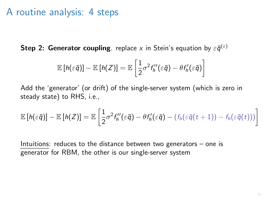Step 2: Generator coupling. replace x in Stein's equation by  $\varepsilon\bar{\mathsf{q}}^{(\varepsilon)}$ 

$$
\mathbb{E}\left[h(\varepsilon\bar{q})\right]-\mathbb{E}\left[h(Z)\right]=\mathbb{E}\left[\frac{1}{2}\sigma^2f^{\prime\prime}_h(\varepsilon\bar{q})-\theta f^{\prime}_h(\varepsilon\bar{q})\right]
$$

Add the 'generator' (or drift) of the single-server system (which is zero in steady state) to RHS, i.e.,

$$
\mathbb{E}\left[h(\varepsilon\bar{q})\right]-\mathbb{E}\left[h(Z)\right]=\mathbb{E}\left[\frac{1}{2}\sigma^2f''_h(\varepsilon\bar{q})-\theta f'_h(\varepsilon\bar{q})-(f_h(\varepsilon\bar{q}(t+1))-f_h(\varepsilon\bar{q}(t)))\right]
$$

Intuitions: reduces to the distance between two generators  $-$  one is generator for RBM, the other is our single-server system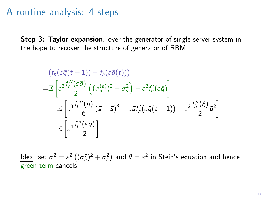Step 3: Taylor expansion. over the generator of single-server system in the hope to recover the structure of generator of RBM.

$$
(f_h(\varepsilon \bar{q}(t+1)) - f_h(\varepsilon \bar{q}(t)))
$$
  
\n
$$
= \mathbb{E}\left[\varepsilon^2 \frac{f_h''(\varepsilon \bar{q})}{2} \left((\sigma_s^{(\varepsilon)})^2 + \sigma_s^2\right) - \varepsilon^2 f_h'(\varepsilon \bar{q})\right]
$$
  
\n
$$
+ \mathbb{E}\left[\varepsilon^3 \frac{f_h'''(\eta)}{6} \left(\bar{a} - \bar{s}\right)^3 + \varepsilon \bar{u} f_h'(\varepsilon \bar{q}(t+1)) - \varepsilon^2 \frac{f_h''(\xi)}{2} \bar{u}^2\right]
$$
  
\n
$$
+ \mathbb{E}\left[\varepsilon^4 \frac{f_h''(\varepsilon \bar{q})}{2}\right]
$$

<u>ldea</u>: set  $\sigma^2=\varepsilon^2\left((\sigma^{\varepsilon}_a)^2+\sigma^2_s\right)$  and  $\theta=\varepsilon^2$  in Stein's equation and hence green term cancels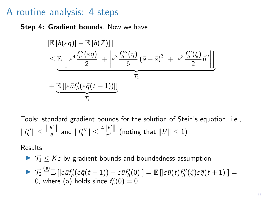Step 4: Gradient bounds. Now we have

$$
\begin{aligned} &\left| \mathbb{E} \left[ h(\varepsilon \bar{q}) \right] - \mathbb{E} \left[ h(Z) \right] \right| \\ &\leq \mathbb{E} \left[ \left| \varepsilon^4 \frac{f_h^{\prime \prime}(\varepsilon \bar{q})}{2} \right| + \left| \varepsilon^3 \frac{f_h^{\prime \prime \prime}(\eta)}{6} \left( \bar{a} - \bar{s} \right)^3 \right| + \left| \varepsilon^2 \frac{f_h^{\prime \prime}(\xi)}{2} \bar{u}^2 \right| \right] \\ &+ \underbrace{\mathbb{E} \left[ \left| \varepsilon \bar{u} f_h'(\varepsilon \bar{q}(t+1)) \right| \right]}_{\mathcal{T}_2} \end{aligned}
$$

Tools: standard gradient bounds for the solution of Stein's equation, i.e.,  $||f''_h|| \leq \frac{||h'||}{\theta}$  $\frac{h'\parallel}{\theta}$  and  $\|f_h'''\|\leq \frac{4\|h'\|}{\sigma^2}$  (noting that  $\|h'\|\leq 1)$ 

Results:

 $\blacktriangleright$   $\mathcal{T}_1 \leq K\varepsilon$  by gradient bounds and boundedness assumption  $\blacktriangleright \ \ {\mathcal{T}_2 \overset{(\mathsf{a})}{=} \mathbb{E}\left[\left| \varepsilon\bar{\mathsf{u}}f_h'(\varepsilon\bar{\mathsf{q}}(t+1)) - \varepsilon\bar{\mathsf{u}}f_h'(0)\right|\right] = \mathbb{E}\left[\left| \varepsilon\bar{\mathsf{u}}(t)f_h''(\zeta)\varepsilon\bar{\mathsf{q}}(t+1)\right|\right] =$ 0, where (a) holds since  $f_h'(0) = 0$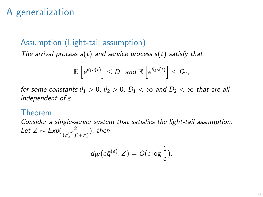# A generalization

#### Assumption (Light-tail assumption)

The arrival process  $a(t)$  and service process  $s(t)$  satisfy that

$$
\mathbb{E}\left[e^{\theta_1 a(t)}\right] \leq D_1 \text{ and } \mathbb{E}\left[e^{\theta_2 s(t)}\right] \leq D_2,
$$

for some constants  $\theta_1 > 0$ ,  $\theta_2 > 0$ ,  $D_1 < \infty$  and  $D_2 < \infty$  that are all independent of  $\varepsilon$ .

#### Theorem

Consider a single-server system that satisfies the light-tail assumption. Let  $Z \sim Exp(\frac{2}{\sqrt{(\varepsilon)}\sqrt{2}})$  $\frac{2}{(\sigma_a^{(\varepsilon)})^2+\sigma_s^2}$ ), then

$$
d_W(\varepsilon \bar{q}^{(\varepsilon)}, Z) = O(\varepsilon \log \frac{1}{\varepsilon}).
$$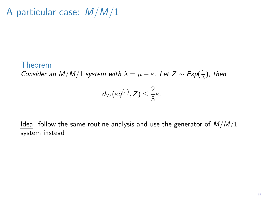# A particular case:  $M/M/1$

#### Theorem

Consider an M/M/1 system with  $\lambda = \mu - \varepsilon$ . Let  $Z \sim Exp(\frac{1}{\lambda})$ , then

$$
d_W(\varepsilon\bar{q}^{(\varepsilon)},Z)\leq \frac{2}{3}\varepsilon.
$$

Idea: follow the same routine analysis and use the generator of  $M/M/1$ system instead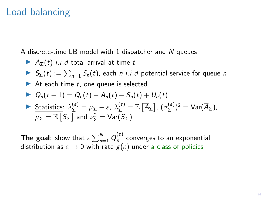### Load balancing

A discrete-time LB model with 1 dispatcher and N queues

$$
\triangleright
$$
 A<sub>Σ</sub>(t) *i.i.d* total arrival at time t

- $S_{\Sigma}(t) := \sum_{n=1} S_n(t)$ , each n i.i.d potential service for queue n
- $\blacktriangleright$  At each time t, one queue is selected

► 
$$
Q_n(t+1) = Q_n(t) + A_n(t) - S_n(t) + U_n(t)
$$
  
\n> Statistics:  $\lambda_{\Sigma}^{(\varepsilon)} = \mu_{\Sigma} - \varepsilon$ ,  $\lambda_{\Sigma}^{(\varepsilon)} = \mathbb{E} [\overline{A}_{\Sigma}]$ ,  $(\sigma_{\Sigma}^{(\varepsilon)})^2 = \text{Var}(\overline{A}_{\Sigma})$ ,  $\mu_{\Sigma} = \mathbb{E} [\overline{S}_{\Sigma}]$  and  $\nu_{\Sigma}^2 = \text{Var}(\overline{S}_{\Sigma})$ 

**The goal**: show that  $\varepsilon \sum_{n=1}^{N} \overline{Q}_{n}^{(\varepsilon)}$  $n^{(c)}$  converges to an exponential distribution as  $\varepsilon \to 0$  with rate  $g(\varepsilon)$  under a class of policies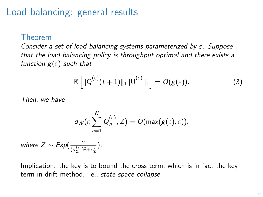### Load balancing: general results

#### Theorem

Consider a set of load balancing systems parameterized by  $\varepsilon$ . Suppose that the load balancing policy is throughput optimal and there exists a function  $g(\varepsilon)$  such that

$$
\mathbb{E}\left[\|\overline{\mathsf{Q}}^{(\varepsilon)}(t+1)\|_1\|\overline{\mathsf{U}}^{(\varepsilon)}\|_1\right] = O(g(\varepsilon)).\tag{3}
$$

Then, we have

$$
d_W(\varepsilon\sum_{n=1}^N\overline{Q}_n^{(\varepsilon)},Z)=O(\max(g(\varepsilon),\varepsilon)).
$$

where  $Z \sim Exp(\frac{2}{\sqrt{(\varepsilon)}\sqrt{2}})$  $\frac{2}{(\sigma_{\Sigma}^{(\varepsilon)})^2 + \nu_{\Sigma}^2}$ ).

Implication: the key is to bound the cross term, which is in fact the key term in drift method, i.e., state-space collapse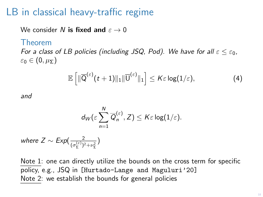#### LB in classical heavy-traffic regime

We consider N is fixed and  $\varepsilon \to 0$ 

#### Theorem

For a class of LB policies (including JSQ, Pod). We have for all  $\varepsilon \leq \varepsilon_0$ ,  $\varepsilon_0 \in (0, \mu_{\Sigma})$ 

$$
\mathbb{E}\left[\|\overline{\mathsf{Q}}^{(\varepsilon)}(t+1)\|_1\|\overline{\mathsf{U}}^{(\varepsilon)}\|_1\right] \leq K\varepsilon\log(1/\varepsilon),\tag{4}
$$

and

$$
d_W(\varepsilon\sum_{n=1}^N \overline{Q}_n^{(\varepsilon)}, Z) \leq K\varepsilon \log(1/\varepsilon).
$$

where  $Z \sim Exp(\frac{2}{\sqrt{(\varepsilon)}\sqrt{2}})$  $\frac{2}{(\sigma_{\Sigma}^{(\varepsilon)})^2+\nu_{\Sigma}^2}$ 

Note 1: one can directly utilize the bounds on the cross term for specific policy, e.g., JSQ in [Hurtado-Lange and Maguluri'20] Note 2: we establish the bounds for general policies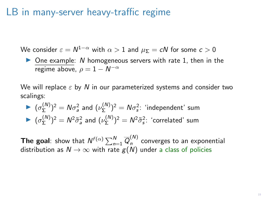### LB in many-server heavy-traffic regime

We consider  $\varepsilon = N^{1-\alpha}$  with  $\alpha > 1$  and  $\mu_{\mathsf{\Sigma}} = cN$  for some  $c > 0$ 

 $\triangleright$  One example: N homogeneous servers with rate 1, then in the regime above,  $\rho = 1 - N^{-\alpha}$ 

We will replace  $\varepsilon$  by N in our parameterized systems and consider two scalings:

$$
(\sigma_{\Sigma}^{(N)})^2 = N\sigma_a^2 \text{ and } (\nu_{\Sigma}^{(N)})^2 = N\sigma_s^2
$$
: 'independent' sum  

$$
(\sigma_{\Sigma}^{(N)})^2 = N^2\tilde{\sigma}_a^2 \text{ and } (\nu_{\Sigma}^{(N)})^2 = N^2\tilde{\sigma}_s^2
$$
: 'correlated' sum

**The goal**: show that  $N^{f(\alpha)}\sum_{n=1}^{N}\overline{Q}_{n}^{(N)}$  $n^{(1)}$  converges to an exponential distribution as  $N \to \infty$  with rate  $g(N)$  under a class of policies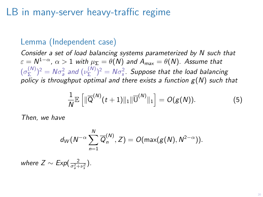### LB in many-server heavy-traffic regime

#### Lemma (Independent case)

Consider a set of load balancing systems parameterized by N such that  $\varepsilon = N^{1-\alpha}, \, \alpha > 1$  with  $\mu_{\mathbf{\Sigma}} = \theta(N)$  and  $\mathcal{A}_{\textit{max}} = \theta(N).$  Assume that  $(\sigma_{\Sigma}^{(N)}$  $(\binom{N}{\Sigma})^2 = N\sigma_a^2$  and  $(\nu_{\Sigma}^{(N)})$  $(\frac{N}{\Sigma})^2 = N\sigma_s^2$ . Suppose that the load balancing policy is throughput optimal and there exists a function  $g(N)$  such that

$$
\frac{1}{N}\mathbb{E}\left[\|\overline{Q}^{(N)}(t+1)\|_1\|\overline{U}^{(N)}\|_1\right]=O(g(N)).
$$
\n(5)

Then, we have

$$
d_W(N^{-\alpha}\sum_{n=1}^N\overline{Q}_n^{(N)},Z)=O(\max(g(N),N^{2-\alpha})).
$$

where  $Z \sim Exp(\frac{2}{\sigma_a^2 + \nu_s^2})$ .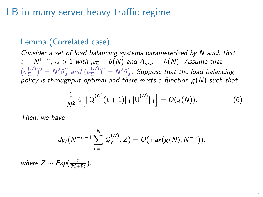### LB in many-server heavy-traffic regime

#### Lemma (Correlated case)

Consider a set of load balancing systems parameterized by N such that  $\varepsilon = N^{1-\alpha}, \, \alpha > 1$  with  $\mu_{\mathbf{\Sigma}} = \theta(N)$  and  $\mathcal{A}_{\textit{max}} = \theta(N).$  Assume that  $(\sigma_{\Sigma}^{(N)}$  $(\binom{N}{\Sigma})^2 = N^2 \tilde{\sigma}_a^2$  and  $(\nu_{\Sigma}^{(N)})$  $(\binom{N}{\Sigma})^2 = N^2 \tilde{\sigma}_s^2$ . Suppose that the load balancing policy is throughput optimal and there exists a function  $g(N)$  such that

$$
\frac{1}{N^2} \mathbb{E}\left[\|\overline{Q}^{(N)}(t+1)\|_1 \|\overline{U}^{(N)}\|_1\right] = O(g(N)).
$$
 (6)

Then, we have

$$
d_W(N^{-\alpha-1}\sum_{n=1}^N\overline{Q}_n^{(N)},Z)=O(\max(g(N),N^{-\alpha})).
$$

where  $Z \sim Exp(\frac{2}{\tilde{\sigma}_a^2 + \tilde{\nu}_s^2})$ .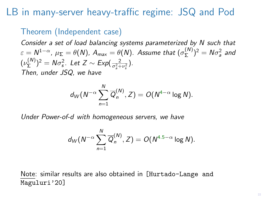### LB in many-server heavy-traffic regime: JSQ and Pod

#### Theorem (Independent case)

Consider a set of load balancing systems parameterized by N such that  $\varepsilon = N^{1-\alpha}, \, \mu_\Sigma = \theta(N), \, A_{\textit{max}} = \theta(N).$  Assume that  $(\sigma_\Sigma^{(N)})$  $(\binom{N}{\Sigma})^2 = N\sigma_a^2$  and  $(\nu^{(N)}_{\Sigma})$  $(\binom{N}{\Sigma})^2 = N\sigma_s^2$ . Let  $Z \sim Exp(\frac{2}{\sigma_s^2 + \nu_s^2})$ . s Then, under JSQ, we have

$$
d_W(N^{-\alpha}\sum_{n=1}^N\overline{Q}_n^{(N)},Z)=O(N^{4-\alpha}\log N).
$$

Under Power-of-d with homogeneous servers, we have

$$
d_W(N^{-\alpha}\sum_{n=1}^N\overline{Q}_n^{(N)},Z)=O(N^{4.5-\alpha}\log N).
$$

Note: similar results are also obtained in [Hurtado-Lange and Maguluri'20]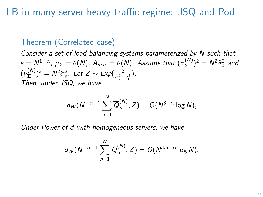LB in many-server heavy-traffic regime: JSQ and Pod

#### Theorem (Correlated case)

Consider a set of load balancing systems parameterized by N such that  $\varepsilon = N^{1-\alpha}, \, \mu_\Sigma = \theta(N).$   $\displaystyle A_{\sf max} = \theta(N).$  Assume that  $(\sigma_\Sigma^{(N)}$  $\sum_{\Sigma}^{(N)}$ )<sup>2</sup> =  $N^2 \tilde{\sigma}_a^2$  and  $(\nu_\Sigma^{(N)}$  $(\binom{N}{\Sigma})^2 = N^2 \tilde{\sigma}_s^2$ . Let  $Z \sim Exp(\frac{2}{\tilde{\sigma}_s^2 + \tilde{\nu}_s^2})$ . Then, under JSQ, we have

$$
d_W(N^{-\alpha-1}\sum_{n=1}^N \overline{Q}_n^{(N)}, Z) = O(N^{3-\alpha}\log N),
$$

Under Power-of-d with homogeneous servers, we have

$$
d_W(N^{-\alpha-1}\sum_{n=1}^N \overline{Q}_n^{(N)}, Z) = O(N^{3.5-\alpha}\log N).
$$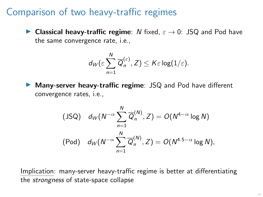### Comparison of two heavy-traffic regimes

**► Classical heavy-traffic regime**: N fixed,  $\varepsilon \to 0$ : JSQ and Pod have the same convergence rate, i.e.,

$$
d_W(\varepsilon\sum_{n=1}^N \overline{Q}_n^{(\varepsilon)}, Z) \leq K\varepsilon\log(1/\varepsilon).
$$

 $\triangleright$  Many-server heavy-traffic regime: JSQ and Pod have different convergence rates, i.e.,

$$
\begin{array}{ll} \text{(JSQ)} & d_W(N^{-\alpha}\sum_{n=1}^N \overline{Q}_n^{(N)}, Z) = O(N^{4-\alpha}\log N) \\ \text{(Pod)} & d_W(N^{-\alpha}\sum_{n=1}^N \overline{Q}_n^{(N)}, Z) = O(N^{4.5-\alpha}\log N), \end{array}
$$

Implication: many-server heavy-traffic regime is better at differentiating the strongness of state-space collapse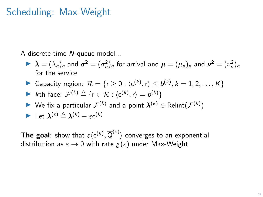## Scheduling: Max-Weight

A discrete-time N-queue model...

- $\blacktriangleright \lambda = (\lambda_n)_n$  and  $\sigma^2 = (\sigma_n^2)_n$  for arrival and  $\mu = (\mu_n)_n$  and  $\nu^2 = (\nu_n^2)_n$ for the service
- ▶ Capacity region:  $\mathcal{R} = \{r \ge 0 : \langle c^{(k)}, r \rangle \le b^{(k)}, k = 1, 2, ..., K\}$

**Example 16** 
$$
\mathcal{F}^{(k)} \triangleq \{r \in \mathcal{R} : \langle c^{(k)}, r \rangle = b^{(k)}\}
$$

► We fix a particular  $\mathcal{F}^{(k)}$  and a point  $\boldsymbol{\lambda}^{(k)} \in \text{Relint}(\mathcal{F}^{(k)})$ 

Let 
$$
\lambda^{(\varepsilon)} \triangleq \lambda^{(k)} - \varepsilon c^{(k)}
$$

**The goal**: show that  $\varepsilon \langle \mathsf{c}^{(k)}, \overline{\mathsf{Q}}^{(\varepsilon)} \rangle$  converges to an exponential distribution as  $\varepsilon \to 0$  with rate  $g(\varepsilon)$  under Max-Weight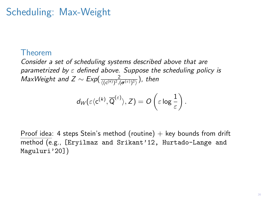# Scheduling: Max-Weight

#### Theorem

Consider a set of scheduling systems described above that are parametrized by  $\varepsilon$  defined above. Suppose the scheduling policy is  ${\it MaxWeight}$  and  $Z \sim \textit{Exp}(\frac{2}{\langle (c^{(k)})^2, (\pmb{\sigma}^{(\varepsilon)})^2 \rangle})$ , then

$$
d_W(\varepsilon \langle c^{(k)}, \overline{\mathsf{Q}}^{(\varepsilon)} \rangle, Z) = O\left(\varepsilon \log \frac{1}{\varepsilon}\right).
$$

Proof idea: 4 steps Stein's method (routine)  $+$  key bounds from drift method (e.g., [Eryilmaz and Srikant'12, Hurtado-Lange and Maguluri'20])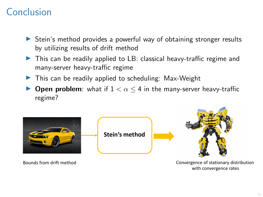# Conclusion

- ▶ Stein's method provides a powerful way of obtaining stronger results by utilizing results of drift method
- $\triangleright$  This can be readily applied to LB: classical heavy-traffic regime and many-server heavy-traffic regime
- $\blacktriangleright$  This can be readily applied to scheduling: Max-Weight
- **Den problem**: what if  $1 < \alpha \leq 4$  in the many-server heavy-traffic regime?



with convergence rates